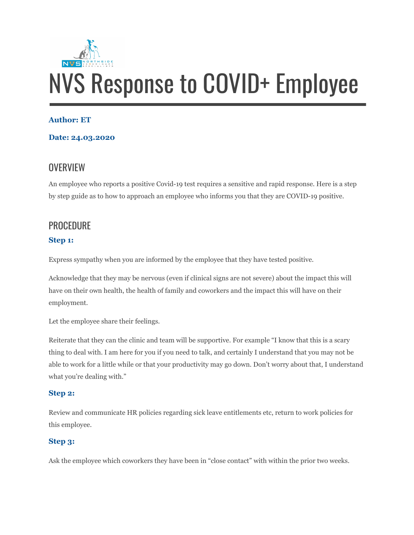

#### **Author: ET**

#### **Date: 24.03.2020**

# **OVERVIEW**

An employee who reports a positive Covid-19 test requires a sensitive and rapid response. Here is a step by step guide as to how to approach an employee who informs you that they are COVID-19 positive.

## **PROCEDURE**

### **Step 1:**

Express sympathy when you are informed by the employee that they have tested positive.

Acknowledge that they may be nervous (even if clinical signs are not severe) about the impact this will have on their own health, the health of family and coworkers and the impact this will have on their employment.

Let the employee share their feelings.

Reiterate that they can the clinic and team will be supportive. For example "I know that this is a scary thing to deal with. I am here for you if you need to talk, and certainly I understand that you may not be able to work for a little while or that your productivity may go down. Don't worry about that, I understand what you're dealing with."

#### **Step 2:**

Review and communicate HR policies regarding sick leave entitlements etc, return to work policies for this employee.

#### **Step 3:**

Ask the employee which coworkers they have been in "close contact" with within the prior two weeks.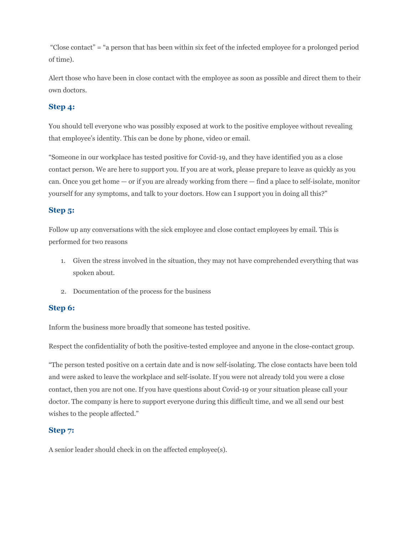"Close contact" = "a person that has been within six feet of the infected employee for a prolonged period of time).

Alert those who have been in close contact with the employee as soon as possible and direct them to their own doctors.

#### **Step 4:**

You should tell everyone who was possibly exposed at work to the positive employee without revealing that employee's identity. This can be done by phone, video or email.

"Someone in our workplace has tested positive for Covid-19, and they have identified you as a close contact person. We are here to support you. If you are at work, please prepare to leave as quickly as you can. Once you get home — or if you are already working from there — find a place to self-isolate, monitor yourself for any symptoms, and talk to your doctors. How can I support you in doing all this?"

#### **Step 5:**

Follow up any conversations with the sick employee and close contact employees by email. This is performed for two reasons

- 1. Given the stress involved in the situation, they may not have comprehended everything that was spoken about.
- 2. Documentation of the process for the business

#### **Step 6:**

Inform the business more broadly that someone has tested positive.

Respect the confidentiality of both the positive-tested employee and anyone in the close-contact group.

"The person tested positive on a certain date and is now self-isolating. The close contacts have been told and were asked to leave the workplace and self-isolate. If you were not already told you were a close contact, then you are not one. If you have questions about Covid-19 or your situation please call your doctor. The company is here to support everyone during this difficult time, and we all send our best wishes to the people affected."

#### **Step 7:**

A senior leader should check in on the affected employee(s).